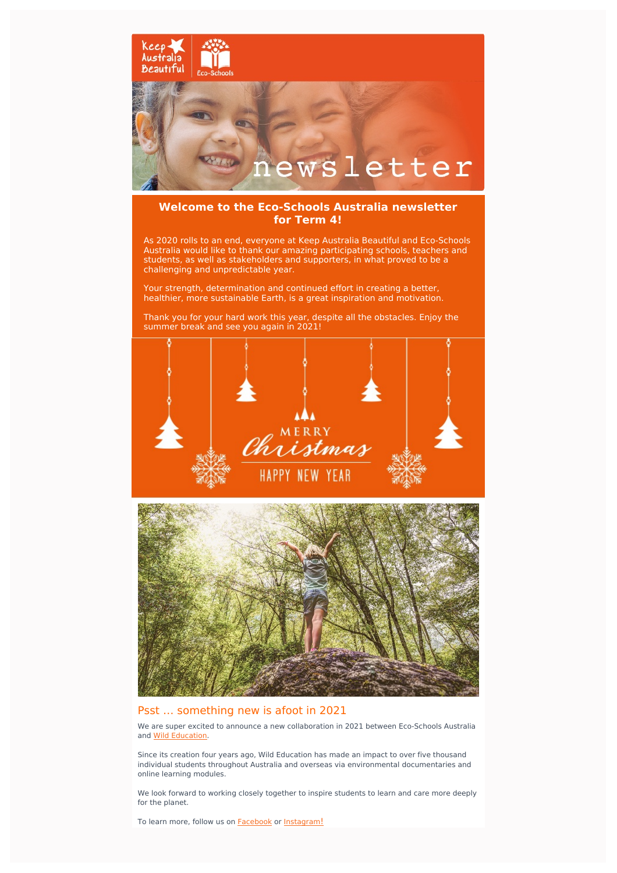

## **Welcome to the Eco-Schools Australia newsletter for Term 4!**

As 2020 rolls to an end, everyone at Keep Australia Beautiful and Eco-Schools Australia would like to thank our amazing participating schools, teachers and students, as well as stakeholders and supporters, in what proved to be a challenging and unpredictable year.

Your strength, determination and continued effort in creating a better, healthier, more sustainable Earth, is a great inspiration and motivation.

Thank you for your hard work this year, despite all the obstacles. Enjoy the summer break and see you again in 2021!





### Psst … something new is afoot in 2021

We are super excited to announce a new collaboration in 2021 between Eco-Schools Australia and Wild [Education](https://wildeducation.net/).

Since its creation four years ago, Wild Education has made an impact to over five thousand individual students throughout Australia and overseas via environmental documentaries and online learning modules.

We look forward to working closely together to inspire students to learn and care more deeply for the planet.

To learn more, follow us on **[Facebook](https://www.facebook.com/ecoschoolsaustralia/)** or **[Instagram](https://www.instagram.com/keepaustraliabeautiful/)[!](https://www.instagram.com/keepaustraliabeautiful/)**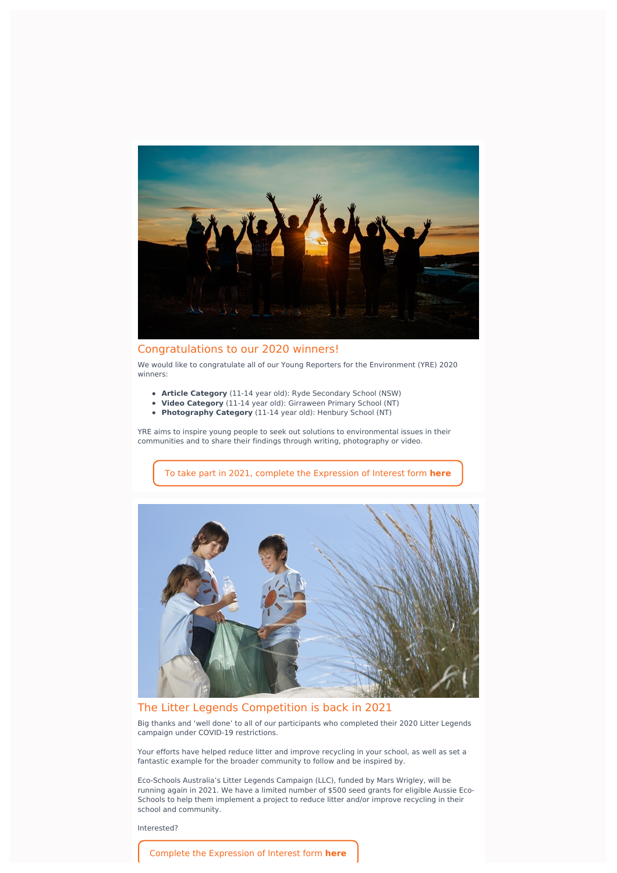

#### Congratulations to our 2020 winners!

We would like to congratulate all of our Young Reporters for the Environment (YRE) 2020 winners:

- **Article Category** (11-14 year old): Ryde Secondary School (NSW)
- **Video Category** (11-14 year old): Girraween Primary School (NT)  $\bullet$
- **Photography Category** (11-14 year old): Henbury School (NT)

YRE aims to inspire young people to seek out solutions to environmental issues in their communities and to share their findings through writing, photography or video.

To take part in 2021, complete the [Expression](https://www.eco-schools.org.au/2021-young-reporters-environment-competition) of Interest form **here**



#### The Litter Legends Competition is back in 2021

Big thanks and 'well done' to all of our participants who completed their 2020 Litter Legends campaign under COVID-19 restrictions.

Your efforts have helped reduce litter and improve recycling in your school, as well as set a fantastic example for the broader community to follow and be inspired by.

Eco-Schools Australia's Litter Legends Campaign (LLC), funded by Mars Wrigley, will be running again in 2021. We have a limited number of \$500 seed grants for eligible Aussie Eco-Schools to help them implement a project to reduce litter and/or improve recycling in their school and community.

Interested?